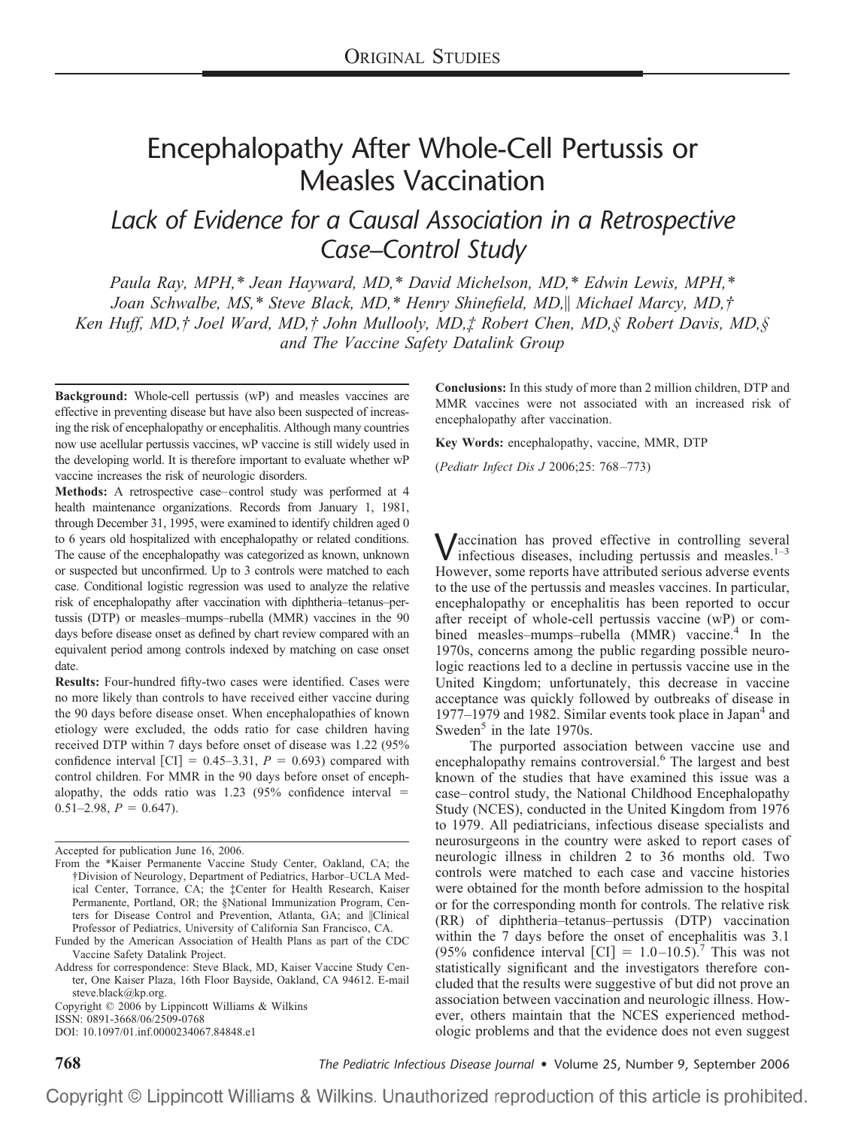# Encephalopathy After Whole-Cell Pertussis or Measles Vaccination

## *Lack of Evidence for a Causal Association in a Retrospective Case–Control Study*

*Paula Ray, MPH,\* Jean Hayward, MD,\* David Michelson, MD,\* Edwin Lewis, MPH,\* Joan Schwalbe, MS,\* Steve Black, MD,\* Henry Shinefield, MD, Michael Marcy, MD,† Ken Huff, MD,† Joel Ward, MD,† John Mullooly, MD,‡ Robert Chen, MD,§ Robert Davis, MD,§ and The Vaccine Safety Datalink Group*

**Background:** Whole-cell pertussis (wP) and measles vaccines are effective in preventing disease but have also been suspected of increasing the risk of encephalopathy or encephalitis. Although many countries now use acellular pertussis vaccines, wP vaccine is still widely used in the developing world. It is therefore important to evaluate whether wP vaccine increases the risk of neurologic disorders.

**Methods:** A retrospective case–control study was performed at 4 health maintenance organizations. Records from January 1, 1981, through December 31, 1995, were examined to identify children aged 0 to 6 years old hospitalized with encephalopathy or related conditions. The cause of the encephalopathy was categorized as known, unknown or suspected but unconfirmed. Up to 3 controls were matched to each case. Conditional logistic regression was used to analyze the relative risk of encephalopathy after vaccination with diphtheria–tetanus–pertussis (DTP) or measles–mumps–rubella (MMR) vaccines in the 90 days before disease onset as defined by chart review compared with an equivalent period among controls indexed by matching on case onset date.

**Results:** Four-hundred fifty-two cases were identified. Cases were no more likely than controls to have received either vaccine during the 90 days before disease onset. When encephalopathies of known etiology were excluded, the odds ratio for case children having received DTP within 7 days before onset of disease was 1.22 (95% confidence interval  $\text{[CI]} = 0.45-3.31$ ,  $P = 0.693$ ) compared with control children. For MMR in the 90 days before onset of encephalopathy, the odds ratio was  $1.23$  (95% confidence interval  $=$  $0.51-2.98$ ,  $P = 0.647$ ).

Copyright © 2006 by Lippincott Williams & Wilkins

ISSN: 0891-3668/06/2509-0768

DOI: 10.1097/01.inf.0000234067.84848.e1

**Conclusions:** In this study of more than 2 million children, DTP and MMR vaccines were not associated with an increased risk of encephalopathy after vaccination.

**Key Words:** encephalopathy, vaccine, MMR, DTP

(*Pediatr Infect Dis J* 2006;25: 768–773)

 $\mathbf{V}$  accination has proved effective in controlling several infectious diseases, including pertussis and measles.<sup>1–3</sup> However, some reports have attributed serious adverse events to the use of the pertussis and measles vaccines. In particular, encephalopathy or encephalitis has been reported to occur after receipt of whole-cell pertussis vaccine (wP) or combined measles–mumps–rubella (MMR) vaccine.<sup>4</sup> In the 1970s, concerns among the public regarding possible neurologic reactions led to a decline in pertussis vaccine use in the United Kingdom; unfortunately, this decrease in vaccine acceptance was quickly followed by outbreaks of disease in 1977–1979 and 1982. Similar events took place in Japan $4$  and Sweden<sup>5</sup> in the late 1970s.

The purported association between vaccine use and encephalopathy remains controversial.<sup>6</sup> The largest and best known of the studies that have examined this issue was a case–control study, the National Childhood Encephalopathy Study (NCES), conducted in the United Kingdom from 1976 to 1979. All pediatricians, infectious disease specialists and neurosurgeons in the country were asked to report cases of neurologic illness in children 2 to 36 months old. Two controls were matched to each case and vaccine histories were obtained for the month before admission to the hospital or for the corresponding month for controls. The relative risk (RR) of diphtheria–tetanus–pertussis (DTP) vaccination within the 7 days before the onset of encephalitis was 3.1 (95% confidence interval [CI] =  $1.0-10.5$ ).<sup>7</sup> This was not statistically significant and the investigators therefore concluded that the results were suggestive of but did not prove an association between vaccination and neurologic illness. However, others maintain that the NCES experienced methodologic problems and that the evidence does not even suggest

**768** *The Pediatric Infectious Disease Journal* • Volume 25, Number 9, September 2006

Accepted for publication June 16, 2006.

From the \*Kaiser Permanente Vaccine Study Center, Oakland, CA; the †Division of Neurology, Department of Pediatrics, Harbor–UCLA Medical Center, Torrance, CA; the ‡Center for Health Research, Kaiser Permanente, Portland, OR; the §National Immunization Program, Centers for Disease Control and Prevention, Atlanta, GA; and ||Clinical Professor of Pediatrics, University of California San Francisco, CA.

Funded by the American Association of Health Plans as part of the CDC Vaccine Safety Datalink Project.

Address for correspondence: Steve Black, MD, Kaiser Vaccine Study Center, One Kaiser Plaza, 16th Floor Bayside, Oakland, CA 94612. E-mail steve.black@kp.org.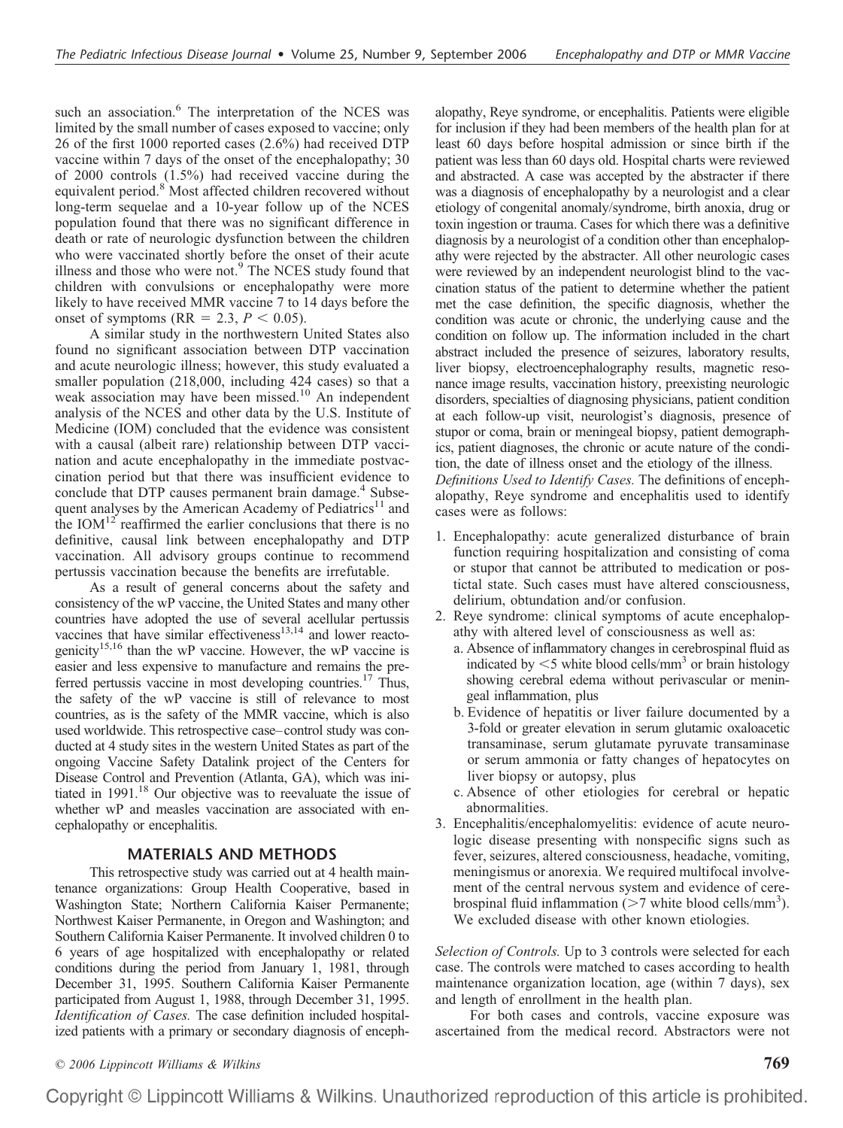such an association.<sup>6</sup> The interpretation of the NCES was limited by the small number of cases exposed to vaccine; only 26 of the first 1000 reported cases (2.6%) had received DTP vaccine within 7 days of the onset of the encephalopathy; 30 of 2000 controls (1.5%) had received vaccine during the equivalent period.<sup>8</sup> Most affected children recovered without long-term sequelae and a 10-year follow up of the NCES population found that there was no significant difference in death or rate of neurologic dysfunction between the children who were vaccinated shortly before the onset of their acute illness and those who were not.<sup>9</sup> The NCES study found that children with convulsions or encephalopathy were more likely to have received MMR vaccine 7 to 14 days before the onset of symptoms ( $RR = 2.3$ ,  $P < 0.05$ ).

A similar study in the northwestern United States also found no significant association between DTP vaccination and acute neurologic illness; however, this study evaluated a smaller population (218,000, including 424 cases) so that a weak association may have been missed.<sup>10</sup> An independent analysis of the NCES and other data by the U.S. Institute of Medicine (IOM) concluded that the evidence was consistent with a causal (albeit rare) relationship between DTP vaccination and acute encephalopathy in the immediate postvaccination period but that there was insufficient evidence to conclude that DTP causes permanent brain damage.<sup>4</sup> Subsequent analyses by the American Academy of Pediatrics $11$  and the  $IOM<sup>12</sup>$  reaffirmed the earlier conclusions that there is no definitive, causal link between encephalopathy and DTP vaccination. All advisory groups continue to recommend pertussis vaccination because the benefits are irrefutable.

As a result of general concerns about the safety and consistency of the wP vaccine, the United States and many other countries have adopted the use of several acellular pertussis vaccines that have similar effectiveness $13,14$  and lower reactogenicity<sup>15,16</sup> than the wP vaccine. However, the wP vaccine is easier and less expensive to manufacture and remains the preferred pertussis vaccine in most developing countries.<sup>17</sup> Thus, the safety of the wP vaccine is still of relevance to most countries, as is the safety of the MMR vaccine, which is also used worldwide. This retrospective case–control study was conducted at 4 study sites in the western United States as part of the ongoing Vaccine Safety Datalink project of the Centers for Disease Control and Prevention (Atlanta, GA), which was initiated in  $1991$ <sup>18</sup> Our objective was to reevaluate the issue of whether wP and measles vaccination are associated with encephalopathy or encephalitis.

#### **MATERIALS AND METHODS**

This retrospective study was carried out at 4 health maintenance organizations: Group Health Cooperative, based in Washington State; Northern California Kaiser Permanente; Northwest Kaiser Permanente, in Oregon and Washington; and Southern California Kaiser Permanente. It involved children 0 to 6 years of age hospitalized with encephalopathy or related conditions during the period from January 1, 1981, through December 31, 1995. Southern California Kaiser Permanente participated from August 1, 1988, through December 31, 1995. *Identification of Cases.* The case definition included hospitalized patients with a primary or secondary diagnosis of encephalopathy, Reye syndrome, or encephalitis. Patients were eligible for inclusion if they had been members of the health plan for at least 60 days before hospital admission or since birth if the patient was less than 60 days old. Hospital charts were reviewed and abstracted. A case was accepted by the abstracter if there was a diagnosis of encephalopathy by a neurologist and a clear etiology of congenital anomaly/syndrome, birth anoxia, drug or toxin ingestion or trauma. Cases for which there was a definitive diagnosis by a neurologist of a condition other than encephalopathy were rejected by the abstracter. All other neurologic cases were reviewed by an independent neurologist blind to the vaccination status of the patient to determine whether the patient met the case definition, the specific diagnosis, whether the condition was acute or chronic, the underlying cause and the condition on follow up. The information included in the chart abstract included the presence of seizures, laboratory results, liver biopsy, electroencephalography results, magnetic resonance image results, vaccination history, preexisting neurologic disorders, specialties of diagnosing physicians, patient condition at each follow-up visit, neurologist's diagnosis, presence of stupor or coma, brain or meningeal biopsy, patient demographics, patient diagnoses, the chronic or acute nature of the condition, the date of illness onset and the etiology of the illness. *Definitions Used to Identify Cases.* The definitions of encephalopathy, Reye syndrome and encephalitis used to identify cases were as follows:

- 1. Encephalopathy: acute generalized disturbance of brain function requiring hospitalization and consisting of coma or stupor that cannot be attributed to medication or postictal state. Such cases must have altered consciousness, delirium, obtundation and/or confusion.
- 2. Reye syndrome: clinical symptoms of acute encephalopathy with altered level of consciousness as well as:
	- a. Absence of inflammatory changes in cerebrospinal fluid as indicated by  $\leq$ 5 white blood cells/mm<sup>3</sup> or brain histology showing cerebral edema without perivascular or meningeal inflammation, plus
	- b. Evidence of hepatitis or liver failure documented by a 3-fold or greater elevation in serum glutamic oxaloacetic transaminase, serum glutamate pyruvate transaminase or serum ammonia or fatty changes of hepatocytes on liver biopsy or autopsy, plus
	- c. Absence of other etiologies for cerebral or hepatic abnormalities.
- 3. Encephalitis/encephalomyelitis: evidence of acute neurologic disease presenting with nonspecific signs such as fever, seizures, altered consciousness, headache, vomiting, meningismus or anorexia. We required multifocal involvement of the central nervous system and evidence of cerebrospinal fluid inflammation  $\sim$  7 white blood cells/mm<sup>3</sup>). We excluded disease with other known etiologies.

*Selection of Controls.* Up to 3 controls were selected for each case. The controls were matched to cases according to health maintenance organization location, age (within 7 days), sex and length of enrollment in the health plan.

For both cases and controls, vaccine exposure was ascertained from the medical record. Abstractors were not

*© 2006 Lippincott Williams & Wilkins* **769**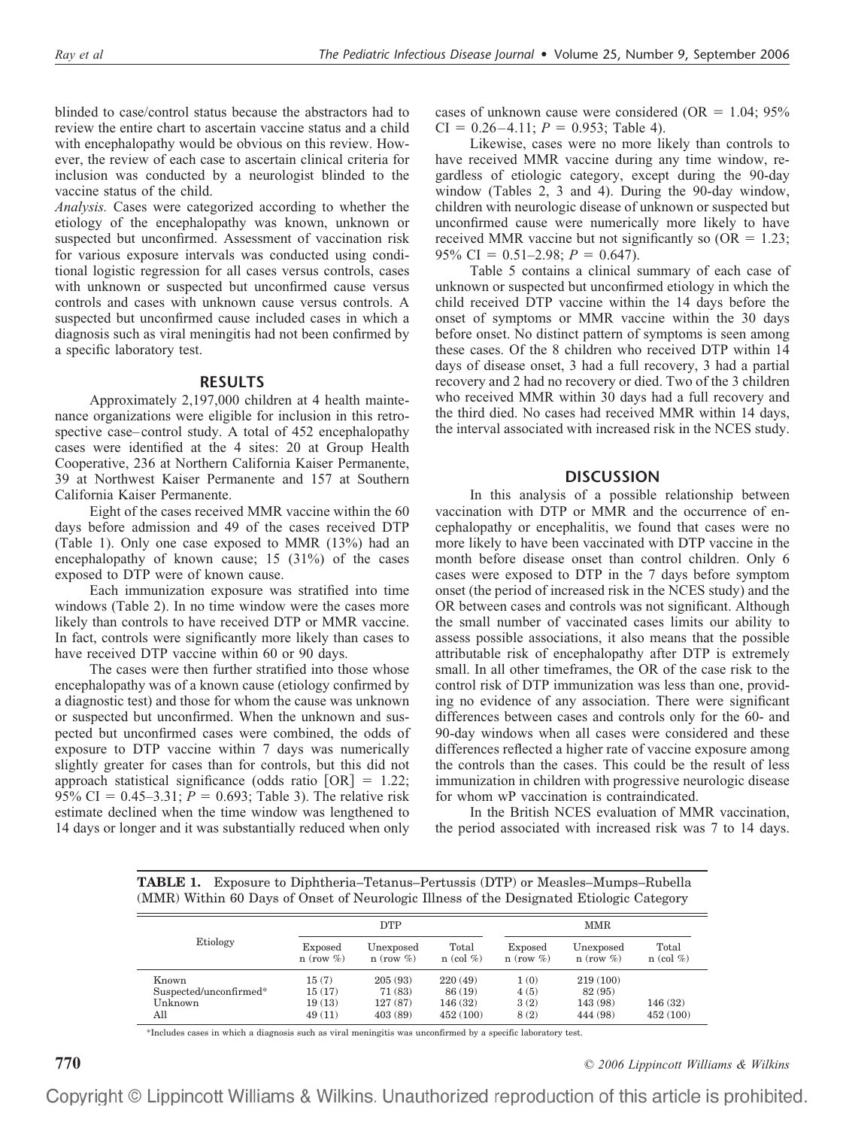blinded to case/control status because the abstractors had to review the entire chart to ascertain vaccine status and a child with encephalopathy would be obvious on this review. However, the review of each case to ascertain clinical criteria for inclusion was conducted by a neurologist blinded to the vaccine status of the child.

*Analysis.* Cases were categorized according to whether the etiology of the encephalopathy was known, unknown or suspected but unconfirmed. Assessment of vaccination risk for various exposure intervals was conducted using conditional logistic regression for all cases versus controls, cases with unknown or suspected but unconfirmed cause versus controls and cases with unknown cause versus controls. A suspected but unconfirmed cause included cases in which a diagnosis such as viral meningitis had not been confirmed by a specific laboratory test.

#### **RESULTS**

Approximately 2,197,000 children at 4 health maintenance organizations were eligible for inclusion in this retrospective case–control study. A total of 452 encephalopathy cases were identified at the 4 sites: 20 at Group Health Cooperative, 236 at Northern California Kaiser Permanente, 39 at Northwest Kaiser Permanente and 157 at Southern California Kaiser Permanente.

Eight of the cases received MMR vaccine within the 60 days before admission and 49 of the cases received DTP (Table 1). Only one case exposed to MMR (13%) had an encephalopathy of known cause; 15 (31%) of the cases exposed to DTP were of known cause.

Each immunization exposure was stratified into time windows (Table 2). In no time window were the cases more likely than controls to have received DTP or MMR vaccine. In fact, controls were significantly more likely than cases to have received DTP vaccine within 60 or 90 days.

The cases were then further stratified into those whose encephalopathy was of a known cause (etiology confirmed by a diagnostic test) and those for whom the cause was unknown or suspected but unconfirmed. When the unknown and suspected but unconfirmed cases were combined, the odds of exposure to DTP vaccine within 7 days was numerically slightly greater for cases than for controls, but this did not approach statistical significance (odds ratio  $[OR] = 1.22$ ; 95% CI =  $0.45-3.31$ ;  $\bar{P} = 0.693$ ; Table 3). The relative risk estimate declined when the time window was lengthened to 14 days or longer and it was substantially reduced when only

cases of unknown cause were considered (OR  $= 1.04$ ; 95%  $CI = 0.26-4.11$ ;  $P = 0.953$ ; Table 4).

Likewise, cases were no more likely than controls to have received MMR vaccine during any time window, regardless of etiologic category, except during the 90-day window (Tables 2, 3 and 4). During the 90-day window, children with neurologic disease of unknown or suspected but unconfirmed cause were numerically more likely to have received MMR vaccine but not significantly so  $(OR = 1.23;$ 95% CI =  $0.51-2.98$ ;  $P = 0.647$ ).

Table 5 contains a clinical summary of each case of unknown or suspected but unconfirmed etiology in which the child received DTP vaccine within the 14 days before the onset of symptoms or MMR vaccine within the 30 days before onset. No distinct pattern of symptoms is seen among these cases. Of the 8 children who received DTP within 14 days of disease onset, 3 had a full recovery, 3 had a partial recovery and 2 had no recovery or died. Two of the 3 children who received MMR within 30 days had a full recovery and the third died. No cases had received MMR within 14 days, the interval associated with increased risk in the NCES study.

#### **DISCUSSION**

In this analysis of a possible relationship between vaccination with DTP or MMR and the occurrence of encephalopathy or encephalitis, we found that cases were no more likely to have been vaccinated with DTP vaccine in the month before disease onset than control children. Only 6 cases were exposed to DTP in the 7 days before symptom onset (the period of increased risk in the NCES study) and the OR between cases and controls was not significant. Although the small number of vaccinated cases limits our ability to assess possible associations, it also means that the possible attributable risk of encephalopathy after DTP is extremely small. In all other timeframes, the OR of the case risk to the control risk of DTP immunization was less than one, providing no evidence of any association. There were significant differences between cases and controls only for the 60- and 90-day windows when all cases were considered and these differences reflected a higher rate of vaccine exposure among the controls than the cases. This could be the result of less immunization in children with progressive neurologic disease for whom wP vaccination is contraindicated.

In the British NCES evaluation of MMR vaccination, the period associated with increased risk was 7 to 14 days.

**TABLE 1.** Exposure to Diphtheria–Tetanus–Pertussis (DTP) or Measles–Mumps–Rubella (MMR) Within 60 Days of Onset of Neurologic Illness of the Designated Etiologic Category

| Etiology               |                            | <b>DTP</b>                   |                          | <b>MMR</b>                 |                              |                          |  |
|------------------------|----------------------------|------------------------------|--------------------------|----------------------------|------------------------------|--------------------------|--|
|                        | Exposed<br>$n$ (row $\%$ ) | Unexposed<br>$n$ (row $\%$ ) | Total<br>$n$ (col $\%$ ) | Exposed<br>$n$ (row $\%$ ) | Unexposed<br>$n$ (row $\%$ ) | Total<br>$n$ (col $\%$ ) |  |
| Known                  | 15(7)                      | 205(93)                      | 220(49)                  | 1(0)                       | 219(100)                     |                          |  |
| Suspected/unconfirmed* | 15(17)                     | 71 (83)                      | 86 (19)                  | 4(5)                       | 82 (95)                      |                          |  |
| Unknown                | 19(13)                     | 127(87)                      | 146(32)                  | 3(2)                       | 143 (98)                     | 146(32)                  |  |
| All                    | 49(11)                     | 403(89)                      | 452(100)                 | 8(2)                       | 444 (98)                     | 452 (100)                |  |

\*Includes cases in which a diagnosis such as viral meningitis was unconfirmed by a specific laboratory test.

**770** *© 2006 Lippincott Williams & Wilkins*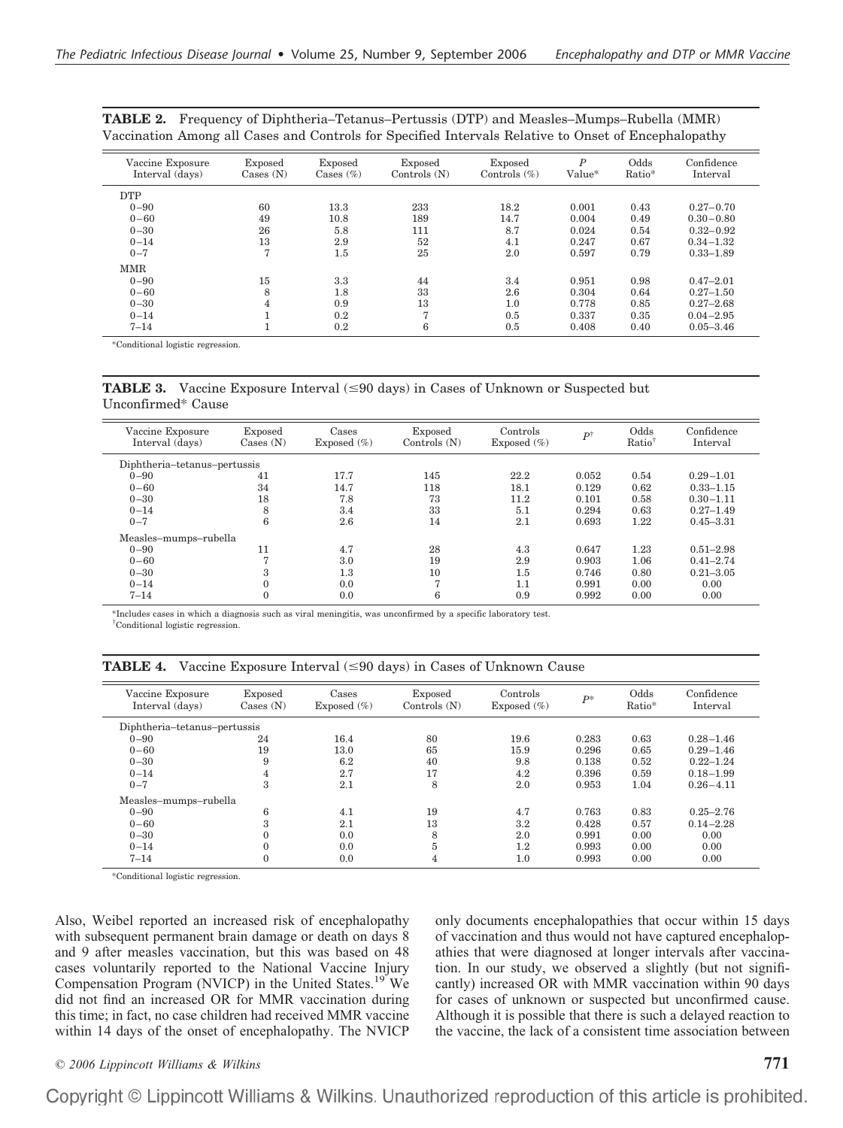| Vaccine Exposure<br>Interval (days) | Exposed<br>$\text{Case } (N)$ | Exposed<br>Cases $(\%)$ | Exposed<br>Controls $(N)$ | Exposed<br>Controls $(\%)$ | $\boldsymbol{P}$<br>Value* | Odds<br>Ratio* | Confidence<br>Interval |
|-------------------------------------|-------------------------------|-------------------------|---------------------------|----------------------------|----------------------------|----------------|------------------------|
| <b>DTP</b>                          |                               |                         |                           |                            |                            |                |                        |
| $0 - 90$                            | 60                            | 13.3                    | 233                       | 18.2                       | 0.001                      | 0.43           | $0.27 - 0.70$          |
| $0 - 60$                            | 49                            | 10.8                    | 189                       | 14.7                       | 0.004                      | 0.49           | $0.30 - 0.80$          |
| $0 - 30$                            | 26                            | 5.8                     | 111                       | 8.7                        | 0.024                      | 0.54           | $0.32 - 0.92$          |
| $0 - 14$                            | 13                            | 2.9                     | 52                        | 4.1                        | 0.247                      | 0.67           | $0.34 - 1.32$          |
| $0 - 7$                             | 7                             | 1.5                     | 25                        | 2.0                        | 0.597                      | 0.79           | $0.33 - 1.89$          |
| <b>MMR</b>                          |                               |                         |                           |                            |                            |                |                        |
| $0 - 90$                            | 15                            | 3.3                     | 44                        | 3.4                        | 0.951                      | 0.98           | $0.47 - 2.01$          |
| $0 - 60$                            | 8                             | 1.8                     | 33                        | 2.6                        | 0.304                      | 0.64           | $0.27 - 1.50$          |
| $0 - 30$                            | $\overline{4}$                | 0.9                     | 13                        | 1.0                        | 0.778                      | 0.85           | $0.27 - 2.68$          |
| $0 - 14$                            |                               | 0.2                     | 7                         | 0.5                        | 0.337                      | 0.35           | $0.04 - 2.95$          |
| $7 - 14$                            |                               | 0.2                     | 6                         | 0.5                        | 0.408                      | 0.40           | $0.05 - 3.46$          |
|                                     |                               |                         |                           |                            |                            |                |                        |

**TABLE 2.** Frequency of Diphtheria–Tetanus–Pertussis (DTP) and Measles–Mumps–Rubella (MMR) Vaccination Among all Cases and Controls for Specified Intervals Relative to Onset of Encephalopathy

\*Conditional logistic regression.

**TABLE 3.** Vaccine Exposure Interval  $(\leq 90 \text{ days})$  in Cases of Unknown or Suspected but Unconfirmed\* Cause

| Vaccine Exposure<br>Interval (davs) | Exposed<br>$\text{Case } (N)$ | Cases<br>Exposed $(\%)$ | Exposed<br>Controls $(N)$ | Controls<br>Exposed $(\%)$ | $P^{\dagger}$ | Odds<br>$Ratio^{\dagger}$ | Confidence<br>Interval |
|-------------------------------------|-------------------------------|-------------------------|---------------------------|----------------------------|---------------|---------------------------|------------------------|
| Diphtheria-tetanus-pertussis        |                               |                         |                           |                            |               |                           |                        |
| $0 - 90$                            | 41                            | 17.7                    | 145                       | 22.2                       | 0.052         | 0.54                      | $0.29 - 1.01$          |
| $0 - 60$                            | 34                            | 14.7                    | 118                       | 18.1                       | 0.129         | 0.62                      | $0.33 - 1.15$          |
| $0 - 30$                            | 18                            | 7.8                     | 73                        | 11.2                       | 0.101         | 0.58                      | $0.30 - 1.11$          |
| $0 - 14$                            | 8                             | 3.4                     | 33                        | 5.1                        | 0.294         | 0.63                      | $0.27 - 1.49$          |
| $0 - 7$                             | 6                             | 2.6                     | 14                        | 2.1                        | 0.693         | 1.22                      | $0.45 - 3.31$          |
| Measles-mumps-rubella               |                               |                         |                           |                            |               |                           |                        |
| $0 - 90$                            | 11                            | 4.7                     | 28                        | 4.3                        | 0.647         | 1.23                      | $0.51 - 2.98$          |
| $0 - 60$                            | 7                             | 3.0                     | 19                        | 2.9                        | 0.903         | 1.06                      | $0.41 - 2.74$          |
| $0 - 30$                            | 3                             | 1.3                     | 10                        | 1.5                        | 0.746         | 0.80                      | $0.21 - 3.05$          |
| $0 - 14$                            | $\mathbf{0}$                  | 0.0                     | $\overline{7}$            | 1.1                        | 0.991         | 0.00                      | 0.00                   |
| $7 - 14$                            | $\mathbf{0}$                  | 0.0                     | 6                         | 0.9                        | 0.992         | 0.00                      | 0.00                   |

\*Includes cases in which a diagnosis such as viral meningitis, was unconfirmed by a specific laboratory test. † Conditional logistic regression.

**TABLE 4.** Vaccine Exposure Interval  $(\leq 90 \text{ days})$  in Cases of Unknown Cause

| Vaccine Exposure<br>Interval (days) | Exposed<br>$\text{Case } (N)$ | Cases<br>Exposed $(\%)$ | Exposed<br>Controls $(N)$ | Controls<br>Exposed $(\% )$ | $P^*$ | Odds<br>Ratio* | Confidence<br>Interval |
|-------------------------------------|-------------------------------|-------------------------|---------------------------|-----------------------------|-------|----------------|------------------------|
| Diphtheria-tetanus-pertussis        |                               |                         |                           |                             |       |                |                        |
| $0 - 90$                            | 24                            | 16.4                    | 80                        | 19.6                        | 0.283 | 0.63           | $0.28 - 1.46$          |
| $0 - 60$                            | 19                            | 13.0                    | 65                        | 15.9                        | 0.296 | 0.65           | $0.29 - 1.46$          |
| $0 - 30$                            | 9                             | 6.2                     | 40                        | 9.8                         | 0.138 | 0.52           | $0.22 - 1.24$          |
| $0 - 14$                            | 4                             | 2.7                     | 17                        | 4.2                         | 0.396 | 0.59           | $0.18 - 1.99$          |
| $0 - 7$                             | 3                             | 2.1                     | 8                         | 2.0                         | 0.953 | 1.04           | $0.26 - 4.11$          |
| Measles-mumps-rubella               |                               |                         |                           |                             |       |                |                        |
| $0 - 90$                            | 6                             | 4.1                     | 19                        | 4.7                         | 0.763 | 0.83           | $0.25 - 2.76$          |
| $0 - 60$                            | 3                             | 2.1                     | 13                        | 3.2                         | 0.428 | 0.57           | $0.14 - 2.28$          |
| $0 - 30$                            |                               | 0.0                     | 8                         | 2.0                         | 0.991 | 0.00           | 0.00                   |
| $0 - 14$                            |                               | 0.0                     | 5                         | 1.2                         | 0.993 | 0.00           | 0.00                   |
| $7 - 14$                            | $\theta$                      | 0.0                     | 4                         | 1.0                         | 0.993 | 0.00           | 0.00                   |

\*Conditional logistic regression.

 $\equiv$ 

Also, Weibel reported an increased risk of encephalopathy with subsequent permanent brain damage or death on days 8 and 9 after measles vaccination, but this was based on 48 cases voluntarily reported to the National Vaccine Injury Compensation Program (NVICP) in the United States.<sup>19</sup> We did not find an increased OR for MMR vaccination during this time; in fact, no case children had received MMR vaccine within 14 days of the onset of encephalopathy. The NVICP only documents encephalopathies that occur within 15 days of vaccination and thus would not have captured encephalopathies that were diagnosed at longer intervals after vaccination. In our study, we observed a slightly (but not significantly) increased OR with MMR vaccination within 90 days for cases of unknown or suspected but unconfirmed cause. Although it is possible that there is such a delayed reaction to the vaccine, the lack of a consistent time association between

### *© 2006 Lippincott Williams & Wilkins* **771**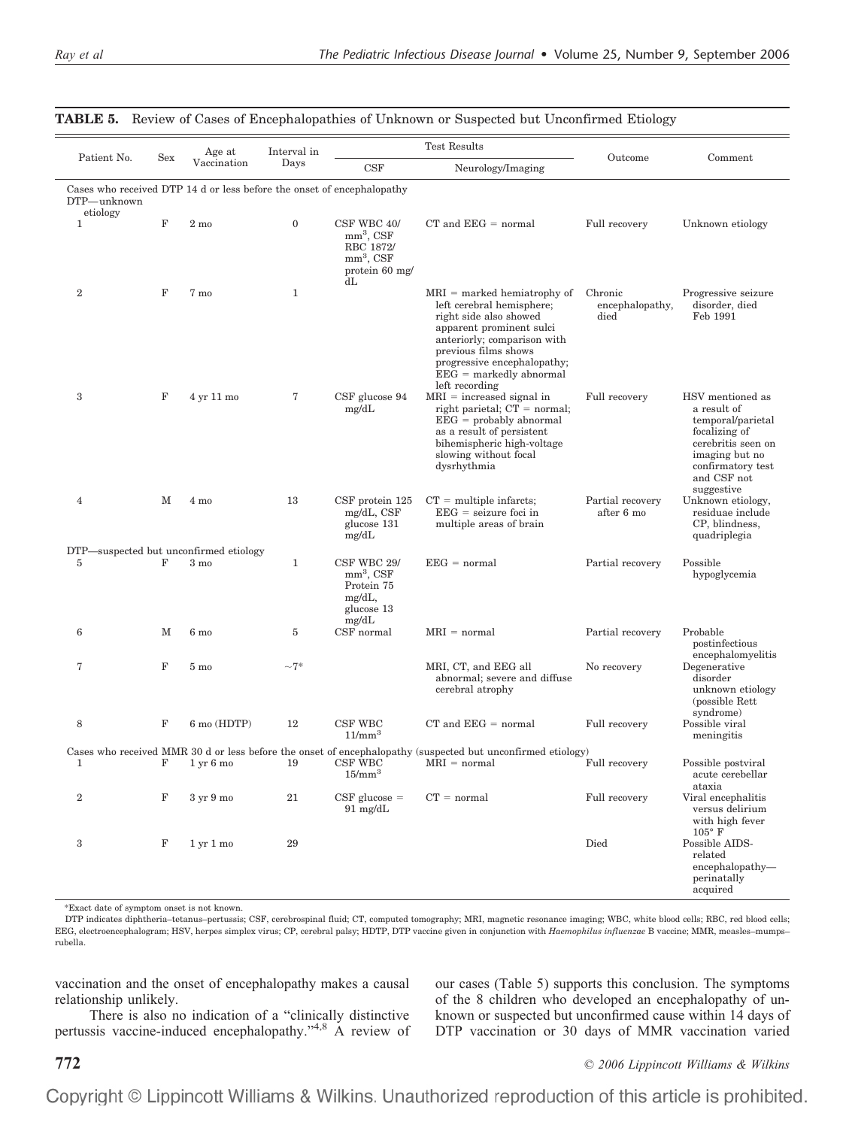|                                                                                                   |             | Age at                              | Interval in  | <b>Test Results</b>                                                            |                                                                                                                                                                                                                                                       |                                    |                                                                                                                                                                 |  |  |
|---------------------------------------------------------------------------------------------------|-------------|-------------------------------------|--------------|--------------------------------------------------------------------------------|-------------------------------------------------------------------------------------------------------------------------------------------------------------------------------------------------------------------------------------------------------|------------------------------------|-----------------------------------------------------------------------------------------------------------------------------------------------------------------|--|--|
| Patient No.                                                                                       | Sex         | Vaccination                         | Days         | CSF                                                                            | Neurology/Imaging                                                                                                                                                                                                                                     | Outcome                            | Comment                                                                                                                                                         |  |  |
| Cases who received DTP 14 d or less before the onset of encephalopathy<br>DTP-unknown<br>etiology |             |                                     |              |                                                                                |                                                                                                                                                                                                                                                       |                                    |                                                                                                                                                                 |  |  |
| $\mathbf{1}$                                                                                      | F           | $2 \text{ mo}$                      | $\mathbf{0}$ | CSF WBC 40/<br>$mm3$ , CSF<br>RBC 1872/<br>$mm3$ , CSF<br>protein 60 mg/<br>dL | $CT$ and $EEG = normal$                                                                                                                                                                                                                               | Full recovery                      | Unknown etiology                                                                                                                                                |  |  |
| $\overline{2}$                                                                                    | $\mathbf F$ | 7 mo                                | $\mathbf{1}$ |                                                                                | $MRI =$ marked hemiatrophy of<br>left cerebral hemisphere;<br>right side also showed<br>apparent prominent sulci<br>anteriorly; comparison with<br>previous films shows<br>progressive encephalopathy;<br>$EEG =$ markedly abnormal<br>left recording | Chronic<br>encephalopathy,<br>died | Progressive seizure<br>disorder, died<br>Feb 1991                                                                                                               |  |  |
| 3                                                                                                 | $\mathbf F$ | 4 yr 11 mo                          | 7            | CSF glucose 94<br>mg/dL                                                        | $MRI = increased signal in$<br>right parietal; $CT = normal$ ;<br>$EEG =$ probably abnormal<br>as a result of persistent<br>bihemispheric high-voltage<br>slowing without focal<br>dysrhythmia                                                        | Full recovery                      | HSV mentioned as<br>a result of<br>temporal/parietal<br>focalizing of<br>cerebritis seen on<br>imaging but no<br>confirmatory test<br>and CSF not<br>suggestive |  |  |
| $\overline{4}$                                                                                    | М           | 4 mo                                | 13           | $CSF$ protein 125<br>mg/dL, CSF<br>glucose 131<br>mg/dL                        | $CT =$ multiple infarcts;<br>$EEG = seizure foci in$<br>multiple areas of brain                                                                                                                                                                       | Partial recovery<br>after 6 mo     | Unknown etiology,<br>residuae include<br>CP, blindness,<br>quadriplegia                                                                                         |  |  |
| DTP—suspected but unconfirmed etiology<br>5                                                       | F           | $3 \text{ mo}$                      | $\mathbf{1}$ | CSF WBC 29/<br>$mm3$ , CSF<br>Protein 75<br>mg/dL,<br>glucose 13<br>mg/dL      | $EEG = normal$                                                                                                                                                                                                                                        | Partial recovery                   | Possible<br>hypoglycemia                                                                                                                                        |  |  |
| 6                                                                                                 | M           | $6 \text{ mo}$                      | 5            | CSF normal                                                                     | $MRI = normal$                                                                                                                                                                                                                                        | Partial recovery                   | Probable<br>postinfectious                                                                                                                                      |  |  |
| 7                                                                                                 | $\mathbf F$ | $5\ {\rm mo}$                       | $-7*$        |                                                                                | MRI, CT, and EEG all<br>abnormal; severe and diffuse<br>cerebral atrophy                                                                                                                                                                              | No recovery                        | encephalomyelitis<br>Degenerative<br>disorder<br>unknown etiology<br>(possible Rett)<br>syndrome)                                                               |  |  |
| 8                                                                                                 | F           | $6 \text{ mo (HDTP)}$               | 12           | CSF WBC<br>$11/mm^3$                                                           | $CT$ and $EEG = normal$                                                                                                                                                                                                                               | Full recovery                      | Possible viral<br>meningitis                                                                                                                                    |  |  |
| 1                                                                                                 | F           | $1 \,\mathrm{yr}$ 6 mo              | 19           | CSF WBC<br>15/mm <sup>3</sup>                                                  | Cases who received MMR 30 d or less before the onset of encephalopathy (suspected but unconfirmed etiology)<br>$MRI = normal$                                                                                                                         | Full recovery                      | Possible postviral<br>acute cerebellar<br>ataxia                                                                                                                |  |  |
| $\boldsymbol{2}$                                                                                  | $\mathbf F$ | 3 yr 9 mo                           | 21           | $CSF$ glucose $=$<br>$91 \text{ mg/dL}$                                        | $CT = normal$                                                                                                                                                                                                                                         | Full recovery                      | Viral encephalitis<br>versus delirium<br>with high fever                                                                                                        |  |  |
| 3                                                                                                 | F           | $1 \,\mathrm{yr} \,1 \,\mathrm{mo}$ | 29           |                                                                                |                                                                                                                                                                                                                                                       | Died                               | $105^{\circ}$ F<br>Possible AIDS-<br>related<br>encephalopathy-<br>perinatally<br>acquired                                                                      |  |  |

#### **TABLE 5.** Review of Cases of Encephalopathies of Unknown or Suspected but Unconfirmed Etiology

\*Exact date of symptom onset is not known.

DTP indicates diphtheria–tetanus–pertussis; CSF, cerebrospinal fluid; CT, computed tomography; MRI, magnetic resonance imaging; WBC, white blood cells; RBC, red blood cells; EEG, electroencephalogram; HSV, herpes simplex virus; CP, cerebral palsy; HDTP, DTP vaccine given in conjunction with *Haemophilus influenzae* B vaccine; MMR, measles–mumps– rubella.

vaccination and the onset of encephalopathy makes a causal relationship unlikely.

There is also no indication of a "clinically distinctive pertussis vaccine-induced encephalopathy."<sup>4,8</sup> A review of our cases (Table 5) supports this conclusion. The symptoms of the 8 children who developed an encephalopathy of unknown or suspected but unconfirmed cause within 14 days of DTP vaccination or 30 days of MMR vaccination varied

**772** *© 2006 Lippincott Williams & Wilkins*